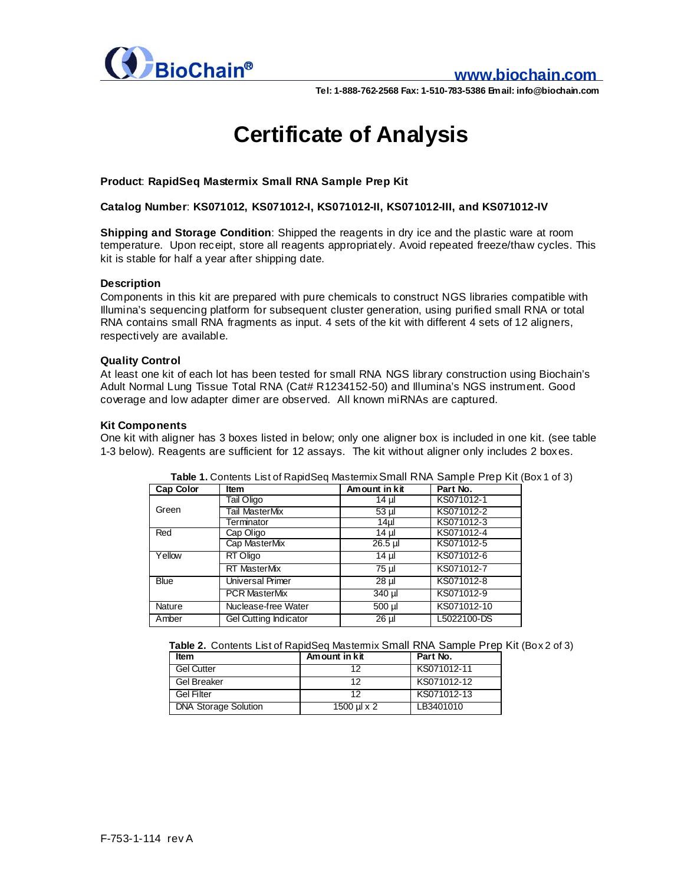

### **www.biochain.com**

**Tel: 1-888-762-2568 Fax: 1-510-783-5386 Email: info@biochain.com**

# **Certificate of Analysis**

#### **Product**: **RapidSeq Mastermix Small RNA Sample Prep Kit**

**Catalog Number**: **KS071012, KS071012-I, KS071012-II, KS071012-III, and KS071012-IV**

**Shipping and Storage Condition**: Shipped the reagents in dry ice and the plastic ware at room temperature. Upon receipt, store all reagents appropriately. Avoid repeated freeze/thaw cycles. This kit is stable for half a year after shipping date.

#### **Description**

Components in this kit are prepared with pure chemicals to construct NGS libraries compatible with Illumina's sequencing platform for subsequent cluster generation, using purified small RNA or total RNA contains small RNA fragments as input. 4 sets of the kit with different 4 sets of 12 aligners, respectively are available.

#### **Quality Control**

At least one kit of each lot has been tested for small RNA NGS library construction using Biochain's Adult Normal Lung Tissue Total RNA (Cat# R1234152-50) and Illumina's NGS instrument. Good coverage and low adapter dimer are observed. All known miRNAs are captured.

#### **Kit Components**

One kit with aligner has 3 boxes listed in below; only one aligner box is included in one kit. (see table 1-3 below). Reagents are sufficient for 12 assays. The kit without aligner only includes 2 boxes.

| Cap Color   | Item                         | Am ount in kit | Part No.    |
|-------------|------------------------------|----------------|-------------|
| Green       | Tail Oligo                   | 14 µl          | KS071012-1  |
|             | Tail MasterMix               | 53 µl          | KS071012-2  |
|             | Terminator                   | $14$ µl        | KS071012-3  |
| Red         | Cap Oligo                    | 14 µl          | KS071012-4  |
|             | Cap MasterMix                | 26.5 µl        | KS071012-5  |
| Yellow      | RT Oligo                     | $14$ µl        | KS071012-6  |
|             | <b>RT MasterMix</b>          | 75 µl          | KS071012-7  |
| <b>Blue</b> | Universal Primer             | $28 \mu$       | KS071012-8  |
|             | <b>PCR MasterMix</b>         | $340 \mu$      | KS071012-9  |
| Nature      | Nuclease-free Water          | $500$ $\mu$    | KS071012-10 |
| Amber       | <b>Gel Cutting Indicator</b> | $26 \mu$       | L5022100-DS |

**Table 1.** Contents List of RapidSeq Mastemix Small RNA Sample Prep Kit (Box 1 of 3)

| Table 2. Contents List of RapidSeq Mastermix Small RNA Sample Prep Kit (Box 2 of 3) |  |
|-------------------------------------------------------------------------------------|--|
|-------------------------------------------------------------------------------------|--|

| ltem                        | Am ount in kit   | Part No.    |
|-----------------------------|------------------|-------------|
| <b>Gel Cutter</b>           | 1つ               | KS071012-11 |
| <b>Gel Breaker</b>          | 12               | KS071012-12 |
| <b>Gel Filter</b>           | 1つ               | KS071012-13 |
| <b>DNA Storage Solution</b> | 1500 $\mu$ l x 2 | LB3401010   |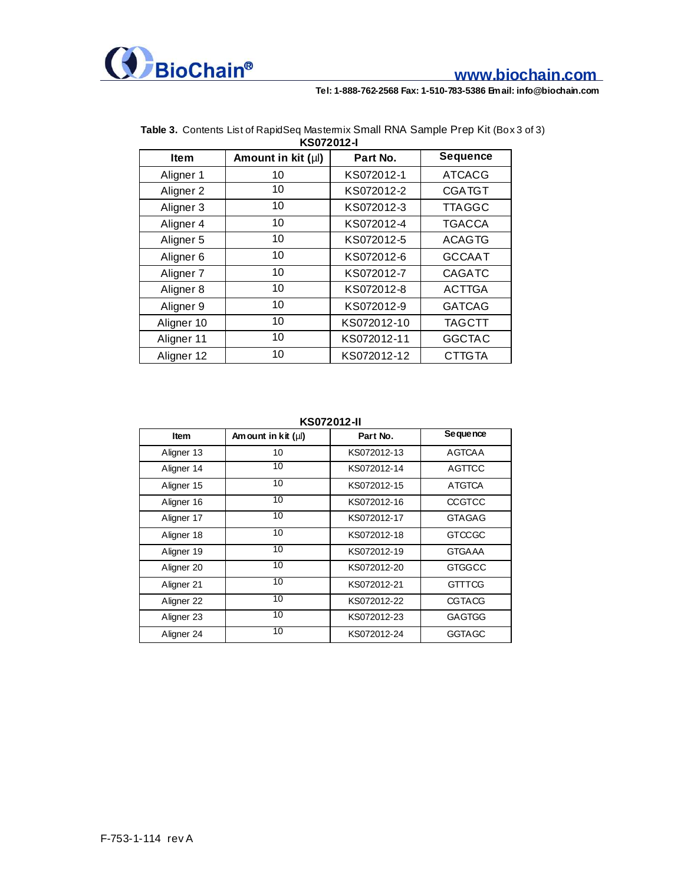

## **www.biochain.com**

**Tel: 1-888-762-2568 Fax: 1-510-783-5386 Email: info@biochain.com**

| KS072012-I           |                         |             |                 |
|----------------------|-------------------------|-------------|-----------------|
| <b>Item</b>          | Amount in kit $(\mu I)$ | Part No.    | <b>Sequence</b> |
| Aligner 1            | 10                      | KS072012-1  | <b>ATCACG</b>   |
| Aligner <sub>2</sub> | 10                      | KS072012-2  | <b>CGATGT</b>   |
| Aligner 3            | 10                      | KS072012-3  | <b>TTAGGC</b>   |
| Aligner 4            | 10                      | KS072012-4  | <b>TGACCA</b>   |
| Aligner 5            | 10                      | KS072012-5  | <b>ACAGTG</b>   |
| Aligner <sub>6</sub> | 10                      | KS072012-6  | <b>GCCAAT</b>   |
| Aligner <sub>7</sub> | 10                      | KS072012-7  | <b>CAGATC</b>   |
| Aligner 8            | 10                      | KS072012-8  | <b>ACTTGA</b>   |
| Aligner 9            | 10                      | KS072012-9  | <b>GATCAG</b>   |
| Aligner 10           | 10                      | KS072012-10 | <b>TAGCTT</b>   |
| Aligner 11           | 10                      | KS072012-11 | <b>GGCTAC</b>   |
| Aligner 12           | 10                      | KS072012-12 | <b>CTTGTA</b>   |

## **Table 3.** Contents List of RapidSeq Mastermix Small RNA Sample Prep Kit (Box 3 of 3)

**KS072012-II**

| <b>Item</b> | Am ount in kit $(\mu\mathsf{I})$ | Part No.    | Se que nce    |
|-------------|----------------------------------|-------------|---------------|
| Aligner 13  | 10                               | KS072012-13 | <b>AGTCAA</b> |
| Aligner 14  | 10                               | KS072012-14 | <b>AGTTCC</b> |
| Aligner 15  | 10                               | KS072012-15 | <b>ATGTCA</b> |
| Aligner 16  | 10                               | KS072012-16 | <b>CCGTCC</b> |
| Aligner 17  | 10                               | KS072012-17 | <b>GTAGAG</b> |
| Aligner 18  | 10                               | KS072012-18 | <b>GTCCGC</b> |
| Aligner 19  | 10                               | KS072012-19 | <b>GTGAAA</b> |
| Aligner 20  | 10                               | KS072012-20 | <b>GTGGCC</b> |
| Aligner 21  | 10                               | KS072012-21 | <b>GTTTCG</b> |
| Aligner 22  | 10                               | KS072012-22 | <b>CGTACG</b> |
| Aligner 23  | 10                               | KS072012-23 | <b>GAGTGG</b> |
| Aligner 24  | 10                               | KS072012-24 | <b>GGTAGC</b> |